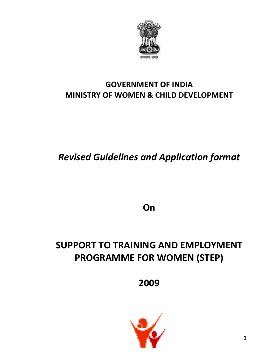

## **GOVERNMENT OF INDIA MINISTRY OF WOMEN & CHILD DEVELOPMENT**

*Revised Guidelines and Application format*

**On**

# **SUPPORT TO TRAINING AND EMPLOYMENT PROGRAMME FOR WOMEN (STEP)**

**2009**

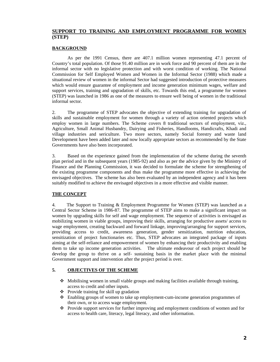### **SUPPORT TO TRAINING AND EMPLOYMENT PROGRAMME FOR WOMEN (STEP)**

#### **BACKGROUND**

As per the 1991 Census, there are 407.1 million women representing 47.1 percent of Country's total population. Of those 91.40 million are in work force and 90 percent of them are in the informal sector with no legislative protection and with worst condition of working. The National Commission for Self Employed Women and Women in the Informal Sector (1988) which made a situational review of women in the informal Sector had suggested introduction of protective measures which would ensure guarantee of employment and income generation minimum wages, welfare and support services, training and upgradation of skills, etc. Towards this end, a programme for women (STEP) was launched in 1986 as one of the measures to ensure well being of women in the traditional informal sector.

2. The programme of STEP advocates the objective of extending training for upgradation of skills and sustainable employment for women through a variety of action oriented projects which employ women in large numbers. The Scheme covers 8 traditional sectors of employment, viz., Agriculture, Small Animal Husbandry, Dairying and Fisheries, Handlooms, Handicrafts, Khadi and village industries and sericulture. Two more sectors, namely Social forestry and waste land Development have been added later and now locally appropriate sectors as recommended by the State Governments have also been incorporated.

3. Based on the experience gained from the implementation of the scheme during the seventh plan period and in the subsequent years (1985-92) and also as per the advice given by the Ministry of Finance and the Planning Commission, it was decided to formulate the scheme for strengthening of the existing programme components and thus make the programme more effective in achieving the envisaged objectives. The scheme has also been evaluated by an independent agency and it has been suitably modified to achieve the envisaged objectives in a more effective and visible manner.

### **THE CONCEPT**

4. The Support to Training & Employment Programme for Women (STEP) was launched as a Central Sector Scheme in 1986-87. The programme of STEP aims to make a significant impact on women by upgrading skills for self and wage employment. The sequence of activities is envisaged as mobilizing women in viable groups, improving their skills, arranging for productive assets/ access to wage employment, creating backward and forward linkage, improving/arranging for support services, providing access to credit, awareness generation, gender sensitization, nutrition education, sensitization of project functionaries etc. Thus, STEP advocates an integrated package of inputs aiming at the self-reliance and empowerment of women by enhancing their productivity and enabling them to take up income generation activities. The ultimate endeavour of each project should be develop the group to thrive on a self- sustaining basis in the market place with the minimal Government support and intervention after the project period is over.

#### **5. OBJECTIVES OF THE SCHEME**

- $\triangle$  Mobilising women in small viable groups and making facilities available through training, access to credit and other inputs.
- Provide training for skill up gradation
- Enabling groups of women to take up employment-cum-income generation programmes of their own, or to access wage employment.
- $\bullet$  Provide support services for further improving and employment conditions of women and for access to health care, literacy, legal literacy, and other information.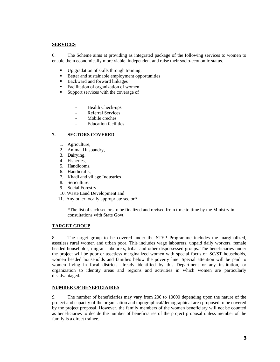#### **SERVICES**

6. The Scheme aims at providing as integrated package of the following services to women to enable them economically more viable, independent and raise their socio-economic status.

- Up gradation of skills through training.
- Better and sustainable employment opportunities
- Backward and forward linkages
- Facilitation of organization of women
- **Support services with the coverage of** 
	- Health Check-ups
	- Referral Services
	- Mobile creches
	- **Education facilities**

#### **7. SECTORS COVERED**

- 1. Agriculture,
- 2. Animal Husbandry,
- 3. Dairying,
- 4. Fisheries,
- 5. Handlooms,
- 6. Handicrafts,
- 7. Khadi and village Industries
- 8. Sericulture.
- 9. Social Forestry
- 10. Waste Land Development and
- 11. Any other locally appropriate sector\*

\*The list of such sectors to be finalized and revised from time to time by the Ministry in consultations with State Govt.

#### **TARGET GROUP**

8. The target group to be covered under the STEP Programme includes the marginalized, assetless rural women and urban poor. This includes wage labourers, unpaid daily workers, female headed households, migrant labourers, tribal and other dispossessed groups. The beneficiaries under the project will be poor or assetless marginalized women with special focus on SC/ST households, women headed households and families below the poverty line. Special attention will be paid to women living in focal districts already identified by this Department or any institution, or organization to identity areas and regions and activities in which women are particularly disadvantaged.

#### **NUMBER OF BENEFICIAIRES**

9. The number of beneficiaries may vary from 200 to 10000 depending upon the nature of the project and capacity of the organisation and topographical/demographical area proposed to be covered by the project proposal. However, the family members of the women beneficiary will not be counted as beneficiaries to decide the number of beneficiaries of the project proposal unless member of the family is a direct trainee.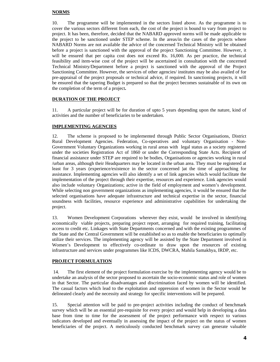#### **NORMS**

10. The programme will be implemented in the sectors listed above. As the programme is to cover the various sectors different from each, the cost of the project is bound to vary from project to project. It has been, therefore, decided that the NABARD approved norms will be made applicable to the project to be sanctioned under STEP scheme. In the areas/in the cases of the projects where NABARD Norms are not available the advice of the concerned Technical Ministry will be obtained before a project is sanctioned with the approval of the project Sanctioning Committee. However, it will be ensured that per capita cost does not exceed Rs. 16,000. As per practice, the technical feasibility and item-wise cost of the project will be ascertained in consultation with the concerned Technical Ministry/Department before a project is sanctioned with the approval of the Project Sanctioning Committee. However, the services of other agencies/ institutes may be also availed of for pre-appraisal of the project proposals or technical advice, if required. In sanctioning projects, it will be ensured that the tapering Budget is prepared so that the project becomes sustainable of its own on the completion of the term of a project**.** 

#### **DURATION OF THE PROJECT**

11. A particular project will be for duration of upto 5 years depending upon the nature, kind of activities and the number of beneficiaries to be undertaken.

#### **IMPLEMENTING AGENCIES**

12. The scheme is proposed to be implemented through Public Sector Organisations, District Rural Development Agencies. Federation, Co-operatives and voluntary Organisation - Non-Government Voluntary Organizations working in rural areas with legal status as a society registered under the societies Registration Act of 1860 or under the Corresponding State Acts. Recipient of financial assistance under STEP are required to be bodies, Organisations or agencies working in rural /urban areas, although their Headquarters may be located in the urban area. They must be registered at least for 3 years (experience/existence in the sector concerned )at the time of approaching for assistance. Implementing agencies will also identify a set of link agencies which would facilitate the implementation of the project through their expertise, resources and experience. Link agencies would also include voluntary Organizations; active in the field of employment and women's development. While selecting non government organizations as implementing agencies, it would be ensured that the selected organisations have adequate infrastructure and technical expertise in the sector, financial soundness with facilities, resource experience and administrative capabilities for undertaking the project.

13. Women Development Corporations wherever they exist, would be involved in identifying economically viable projects, preparing project report, arranging for required training, facilitating access to credit etc. Linkages with State Departments concerned and with the existing programmes of the State and the Central Government will be established so as to enable the beneficiaries to optimally utilize their services. The implementing agency will be assisted by the State Department involved in Women's Development to effectively co-ordinate to draw upon the resources of existing infrastructure and services under programmes like ICDS, DWCRA, Mahila Samakhya, IRDP, etc.

#### **PROJECT FORMULATION**

 14. The first element of the project formulation exercise by the implementing agency would be to undertake an analysis of the sector proposed to ascertain the socio-economic status and role of women in that Sector. The particular disadvantages and discrimination faced by women will be identified. The casual factors which lead to the exploitation and oppression of women in the Sector would be delineated clearly and the necessity and strategy for specific interventions will be prepared.

15. Special attention will be paid to pre-project activities including the conduct of benchmark survey which will be an essential pre-requisite for every project and would help in developing a data base from time to time for the assessment of the project performance with respect to various indicators developed and eventually in assessing the impact of the project on the status of women beneficiaries of the project. A meticulously conducted benchmark survey can generate valuable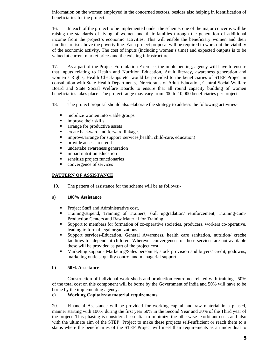information on the women employed in the concerned sectors, besides also helping in identification of beneficiaries for the project.

16. In each of the project to be implemented under the scheme, one of the major concerns will be raising the standards of living of women and their families through the generation of additional income from the project's economic activities. This will enable the beneficiary women and their families to rise above the poverty line. Each project proposal will be required to work out the viability of the economic activity. The cost of inputs (including women's time) and expected outputs is to be valued at current market prices and the existing infrastructure.

17. As a part of the Project Formulation Exercise, the implementing, agency will have to ensure that inputs relating to Health and Nutrition Education, Adult literacy, awareness generation and women's Rights, Health Check-ups etc. would be provided to the beneficiaries of STEP Project in consultation with State Health Departments, Directorates of Adult Education, Central Social Welfare Board and State Social Welfare Boards to ensure that all round capacity building of women beneficiaries takes place. The project range may vary from 200 to 10,000 beneficiaries per project.

18. The project proposal should also elaborate the strategy to address the following activities-

- **n** mobilize women into viable groups
- improve their skills

.

- **a** arrange for productive assets
- create backward and forward linkages
- improve/arrange for support services(health, child-care, education)
- **provide access to credit**
- **undertake awareness generation**
- **i** impart nutrition education
- sensitize project functionaries
- convergence of services

#### **PATTERN OF ASSISTANCE**

19. The pattern of assistance for the scheme will be as follows:-

#### a) **100% Assistance**

- **Project Staff and Administrative cost,**
- Training-stipend, Training of Trainers, skill upgradation/ reinforcement, Training-cum-Production Centers and Raw Material for Training.
- Support to members for formation of co-operative societies, producers, workers co-operative, leading to formal legal organizations.
- Support services-Education, General Awareness, health care sanitation, nutrition/ creche facilities for dependent children. Wherever convergences of these services are not available these will be provided as part of the project cost.
- **Marketing support- Marketing/Sales personnel, stock provision and buyers' credit, godowns,** marketing outlets, quality control and managerial support.

#### b) **50% Assistance**

Construction of individual work sheds and production centre not related with training –50% of the total cost on this component will be borne by the Government of India and 50% will have to be borne by the implementing agency.

#### c) **Working Capital/raw material requirements**

20. Financial Assistance will be provided for working capital and raw material in a phased, manner starting with 100% during the first year 50% in the Second Year and 30% of the Third year of the project. This phasing is considered essential to minimize the otherwise exorbitant costs and also with the ultimate aim of the STEP Project to make these projects self-sufficient or reach them to a status where the beneficiaries of the STEP Project will meet their requirements as an individual to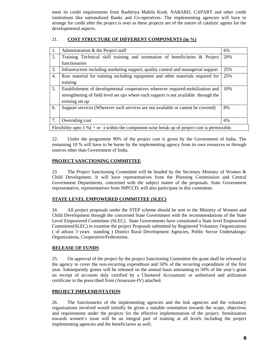meet its credit requirements from Rashtriya Mahila Kosh. NABARD, CAPART and other credit institutions like nationalized Banks and Co-operatives. The implementing agencies will have to arrange for credit after the project is over as these projects are of the nature of catalytic agents for the developmental aspects.

### 21. **COST STRUCTURE OF DIFFERENT COMPONENTS (in %)**

| 1. | Administration & the Project staff                                                                  | 6%  |
|----|-----------------------------------------------------------------------------------------------------|-----|
| 2. | Training Technical skill training and orientation of beneficiaries & Project                        | 20% |
|    | functionaries                                                                                       |     |
| 3. | Infrastructure including marketing support, quality control and managerial support                  | 25% |
| 4. | Raw material for training including equipment and other materials required for                      | 25% |
|    | training                                                                                            |     |
| 5. | Establishment of developmental cooperatives wherever required-mobilization and                      | 10% |
|    | strengthening of field level set ups where such support is not available through the                |     |
|    | existing set up                                                                                     |     |
| 6. | Support services (Wherever such services are not available or cannot be covered)                    | 8%  |
|    |                                                                                                     |     |
| 7. | Overriding cost                                                                                     | 6%  |
|    | Flexibility upto 5 % ( $+$ or -) within the component-wise break up of project cost is permissible. |     |

22. Under the programme 90% of the project cost is given by the Government of India. The remaining 10 % will have to be borne by the implementing agency from its own resources or through sources other than Government of India.

### **PROJECT SANCTIONING COMMITTEE**

23. The Project Sanctioning Committee will be headed by the Secretary Ministry of Women & Child Development. It will have representatives from the Planning Commission and Central Government Departments, concerned with the subject matter of the proposals. State Government representative, representatives from NIPCCD, will also participate in this committee.

### **STATE LEVEL EMPOWERED COMMITTEE (SLEC)**

24. All project proposals under the STEP scheme should be sent to the Ministry of Women and Child Development through the concerned State Government with the recommendations of the State Level Empowered Committee (SLEC). State Governments have constituted a State level Empowered Committee(SLEC) to examine the project Proposals submitted by Registered Voluntary Organizations ( of atleast 3 years standing ) District Rural Development Agencies, Public Sector Undertakings/ Organizations, Cooperative/Federations.

### **RELEASE OF FUNDS**

25. On approval of the project by the project Sanctioning Committee the grant shall be released to the agency to cover the non-recurring expenditure and 50% of the recurring expenditure of the first year. Subsequently grants will be released on the annual basis amounting to 50% of the year's grant on receipt of accounts duly certified by a Chartered Accountant/ or authorized and utilization certificate in the prescribed from (Annexure-IV) attached.

### **PROJECT IMPLEMENTATION**

26. The functionaries of the implementing agencies and the link agencies and the voluntary organisations involved would initially be given a suitable orientation towards the scope, objectives and requirements under the projects for the effective implementation of the project. Sensitization towards women's issue will be an integral part of training at all levels including the project implementing agencies and the beneficiaries as well.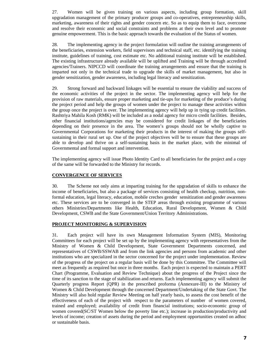27. Women will be given training on various aspects, including group formation, skill upgradation management of the primary producer groups and co-operatives, entrepreneurship skills, marketing, awareness of their rights and gender concern etc. So as to equip them to face, overcome and resolve their economic and social constraints and problems at their own level and to promote genuine empowerment. This is the basic approach towards the evaluation of the Status of women.

28. The implementing agency in the project formulation will outline the training arrangements of the beneficiaries, extension workers, field supervisors and technical staff, etc. identifying the training institute, guidelines of training, cost estimate etc. No additional training institute will be established. The existing infrastructure already available will be uplifted and Training will be through accredited agencies/Trainers. NIPCCD will coordinate the training arrangements and ensure that the training is imparted not only in the technical trade to upgrade the skills of market management, but also in gender sensitization, gender awareness, including legal literacy and sensitization.

29. Strong forward and backward linkages will be essential to ensure the viability and success of the economic activities of the project in the sector. The implementing agency will help for the provision of raw materials, ensure proper marketing and tie-ups for marketing of the produce's during the project period and help the groups of women under the project to manage these activities within the group once the project is over. The implementing agency will help up in tying up credit facilities. Rashtriya Mahila Kosh (RMK) will be included as a nodal agency for micro credit facilities. Besides, other financial institutions/agencies may be considered for credit linkages of the beneficiaries depending on their presence in the area. The women's groups should not be wholly captive to Governmental Corporations for marketing their products in the interest of making the groups selfsustaining in their rural set up. One of the project objectives will be to ensure that these groups are able to develop and thrive on a self-sustaining basis in the market place, with the minimal of Governmental and formal support and intervention.

The implementing agency will issue Photo Identity Card to all beneficiaries for the project and a copy of the same will be forwarded to the Ministry for records.

#### **CONVERGENCE OF SERVICES**

30. The Scheme not only aims at imparting training for the upgradation of skills to enhance the income of beneficiaries, but also a package of services consisting of health checkup, nutrition, nonformal education, legal literacy, education, mobile creches gender sensitization and gender awareness etc. These services are to be converged in the STEP areas through existing programme of various others Ministries/Departments like Health, Education, Rural Development, Women & Child Development, CSWB and the State Government/Union Territory Administrations.

#### **PROJECT MONITORING & SUPERVISION**

31. Each project will have its own Management Information System (MIS), Monitoring Committees for each project will be set up by the implementing agency with representatives from the Ministry of Women & Child Development, State Government Departments concerned, and representatives of CSWB/SSWAB and from the link agencies and persons from academic and other institutions who are specialized in the sector concerned for the project under implementation. Review of the progress of the project on a regular basis will be done by this Committee. The Committee will meet as frequently as required but once in three months. Each project is expected to maintain a PERT Chart (Programme, Evaluation and Review Technique) about the progress of the Project since the time of its sanction to the stage of stabilization and returns. Each implementing agency will submit the Quarterly progress Report (QPR) in the prescribed proforma (Annexure-III) to the Ministry of Women & Child Development through the concerned Department/Undertaking of the State Govt. The Ministry will also hold regular Review Meeting on half yearly basis, to assess the cost benefit of the effectiveness of each of the project with respect to the parameters of number of women covered, trained and employed; availability of credit from financial institutions; socio-economic group of women covered(SC/ST Women below the poverty line etc.); increase in production/productivity and levels of income; creation of assets during the period and employment opportunities created on adhoc or sustainable basis.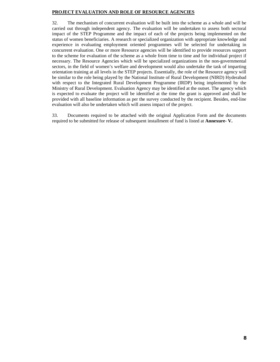#### **PROJECT EVALUATION AND ROLE OF RESOURCE AGENCIES**

32. The mechanism of concurrent evaluation will be built into the scheme as a whole and will be carried out through independent agency. The evaluation will be undertaken to assess both sectoral impact of the STEP Programme and the impact of each of the projects being implemented on the status of women beneficiaries. A research or specialized organization with appropriate knowledge and experience in evaluating employment oriented programmes will be selected for undertaking in concurrent evaluation. One or more Resource agencies will be identified to provide resources support to the scheme for evaluation of the scheme as a whole from time to time and for individual project if necessary. The Resource Agencies which will be specialized organizations in the non-governmental sectors, in the field of women's welfare and development would also undertake the task of imparting orientation training at all levels in the STEP projects. Essentially, the role of the Resource agency will be similar to the role being played by the National Institute of Rural Development (NIRD) Hyderabad with respect to the Integrated Rural Development Programme (IRDP) being implemented by the Ministry of Rural Development. Evaluation Agency may be identified at the outset. The agency which is expected to evaluate the project will be identified at the time the grant is approved and shall be provided with all baseline information as per the survey conducted by the recipient. Besides, end-line evaluation will also be undertaken which will assess impact of the project.

33. Documents required to be attached with the original Application Form and the documents required to be submitted for release of subsequent installment of fund is listed at **Annexure- V.**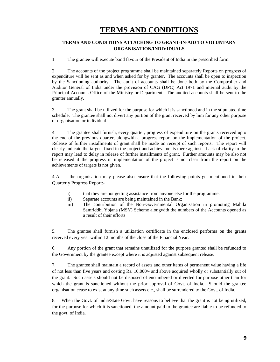## **TERMS AND CONDITIONS**

### **TERMS AND CONDITIONS ATTACHING TO GRANT-IN-AID TO VOLUNTARY ORGANISATION/INDIVIDUALS**

1 The grantee will execute bond favour of the President of India in the prescribed form.

2 The accounts of the project programme shall be maintained separately Reports on progress of expenditure will be sent as and when asked for by granter. The accounts shall be open to inspection by the Sanctioning authority. The audit of accounts shall be done both by the Comptroller and Auditor General of India under the provision of CAG (DPC) Act 1971 and internal audit by the Principal Accounts Office of the Ministry or Department. The audited accounts shall be sent to the granter annually.

3 The grant shall be utilized for the purpose for which it is sanctioned and in the stipulated time schedule. The grantee shall not divert any portion of the grant received by him for any other purpose of organisation or individual.

4 The grantee shall furnish, every quarter, progress of expenditure on the grants received upto the end of the previous quarter, alongwith a progress report on the implementation of the project. Release of further installments of grant shall be made on receipt of such reports. The report will clearly indicate the targets fixed in the project and achievements there against. Lack of clarity in the report may lead to delay in release of further installments of grant. Further amounts may be also not be released if the progress in implementation of the project is not clear from the report on the achievements of targets is not given.

4-A the organisation may please also ensure that the following points get mentioned in their Quarterly Progress Report:-

- i) that they are not getting assistance from anyone else for the programme.
- ii) Separate accounts are being maintained in the Bank;
- iii) The contribution of the Non-Governmental Organisation in promoting Mahila Samriddhi Yojana (MSY) Scheme alongwith the numbers of the Accounts opened as a result of their efforts

5. The grantee shall furnish a utilization certificate in the enclosed performa on the grants received every year within 12 months of the close of the Financial Year.

6. Any portion of the grant that remains unutilized for the purpose granted shall be refunded to the Government by the grantee except where it is adjusted against subsequent release.

7. The grantee shall maintain a record of assets and other items of permanent value having a life of not less than five years and costing Rs. 10,000/- and above acquired wholly or substantially out of the grant. Such assets should not be disposed of encumbered or diverted for purpose other than for which the grant is sanctioned without the prior approval of Govt. of India. Should the grantee organisation cease to exist at any time such assets etc., shall be surrendered to the Govt. of India.

8. When the Govt. of India/State Govt. have reasons to believe that the grant is not being utilized, for the purpose for which it is sanctioned, the amount paid to the grantee are liable to be refunded to the govt. of India.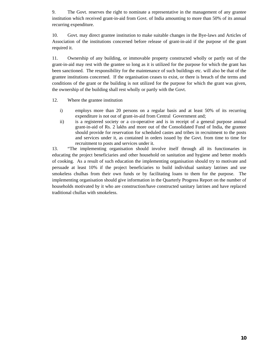9. The Govt. reserves the right to nominate a representative in the management of any grantee institution which received grant-in-aid from Govt. of India amounting to more than 50% of its annual recurring expenditure.

10. Govt. may direct grantee institution to make suitable changes in the Bye-laws and Articles of Association of the institutions concerned before release of grant-in-aid if the purpose of the grant required it.

11. Ownership of any building, or immovable property constructed wholly or partly out of the grant-in-aid may rest with the grantee so long as it is utilized for the purpose for which the grant has been sanctioned. The responsibility for the maintenance of such buildings etc. will also be that of the grantee institutions concerned. If the organisation ceases to exist, or there is breach of the terms and conditions of the grant or the building is not utilized for the purpose for which the grant was given, the ownership of the building shall rest wholly or partly with the Govt.

- 12. Where the grantee institution
	- i) employs more than 20 persons on a regular basis and at least 50% of its recurring expenditure is not out of grant-in-aid from Central Government and;
	- ii) is a registered society or a co-operative and is in receipt of a general purpose annual grant-in-aid of Rs. 2 lakhs and more out of the Consolidated Fund of India, the grantee should provide for reservation for scheduled castes and tribes in recruitment to the posts and services under it, as contained in orders issued by the Govt. from time to time for recruitment to posts and services under it.

13. "The implementing organisation should involve itself through all its functionaries in educating the project beneficiaries and other household on sanitation and hygiene and better models of cooking. As a result of such education the implementing organisation should try to motivate and persuade at least 10% if the project beneficiaries to build individual sanitary latrines and use smokeless chulhas from their own funds or by facilitating loans to them for the purpose. The implementing organisation should give information in the Quarterly Progress Report on the number of households motivated by it who are construction/have constructed sanitary latrines and have replaced traditional chullas with smokeless.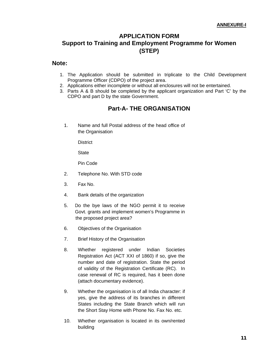## **APPLICATION FORM Support to Training and Employment Programme for Women (STEP)**

### **Note:**

- 1. The Application should be submitted in triplicate to the Child Development Programme Officer (CDPO) of the project area.
- 2. Applications either incomplete or without all enclosures will not be entertained.
- 3. Parts A & B should be completed by the applicant organization and Part 'C' by the CDPO and part D by the state Government.

### **Part-A- THE ORGANISATION**

1. Name and full Postal address of the head office of the Organisation

**District** 

**State** 

Pin Code

- 2. Telephone No. With STD code
- 3. Fax No.
- 4. Bank details of the organization
- 5. Do the bye laws of the NGO permit it to receive Govt. grants and implement women's Programme in the proposed project area?
- 6. Objectives of the Organisation
- 7. Brief History of the Organisation
- 8. Whether registered under Indian Societies Registration Act (ACT XXI of 1860) if so, give the number and date of registration. State the period of validity of the Registration Certificate (RC). In case renewal of RC is required, has it been done (attach documentary evidence).
- 9. Whether the organisation is of all India character: if yes, give the address of its branches in different States including the State Branch which will run the Short Stay Home with Phone No. Fax No. etc.
- 10. Whether organisation is located in its own/rented building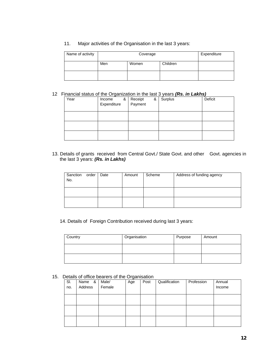11. Major activities of the Organisation in the last 3 years:

| Name of activity |     | Expenditure |          |  |
|------------------|-----|-------------|----------|--|
|                  | Men | Women       | Children |  |
|                  |     |             |          |  |

#### 12 Financial status of the Organization in the last 3 years *(Rs. in Lakhs)*

| Year | &<br>Income<br>Expenditure | Receipt<br>Payment<br>& | Surplus | Deficit |
|------|----------------------------|-------------------------|---------|---------|
|      |                            |                         |         |         |
|      |                            |                         |         |         |
|      |                            |                         |         |         |

13. Details of grants received from Central Govt./ State Govt. and other Govt. agencies in the last 3 years: *(Rs. in Lakhs)*

| Sanction<br>No. | order | Date | Amount | Scheme | Address of funding agency |
|-----------------|-------|------|--------|--------|---------------------------|
|                 |       |      |        |        |                           |
|                 |       |      |        |        |                           |

14. Details of Foreign Contribution received during last 3 years:

| Country | Organisation | Purpose | Amount |
|---------|--------------|---------|--------|
|         |              |         |        |
|         |              |         |        |

15. Details of office bearers of the Organisation

| SI.<br>no. | Name<br>&<br>Address | Male/<br>Female | Age | Post | Qualification | Profession | Annual<br>Income |
|------------|----------------------|-----------------|-----|------|---------------|------------|------------------|
|            |                      |                 |     |      |               |            |                  |
|            |                      |                 |     |      |               |            |                  |
|            |                      |                 |     |      |               |            |                  |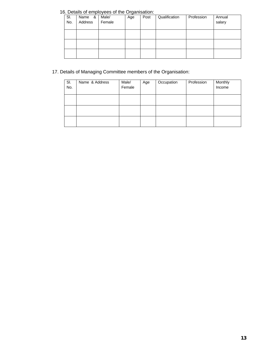### 16. Details of employees of the Organisation:

| SI.<br>No. | Name &<br>Address | Male/<br>Female | ັ<br>Age | Post | Qualification | Profession | Annual<br>salary |
|------------|-------------------|-----------------|----------|------|---------------|------------|------------------|
|            |                   |                 |          |      |               |            |                  |
|            |                   |                 |          |      |               |            |                  |
|            |                   |                 |          |      |               |            |                  |

### 17. Details of Managing Committee members of the Organisation:

| SI.<br>No. | Name & Address | Male/<br>Female | Age | Occupation | Profession | Monthly<br>Income |
|------------|----------------|-----------------|-----|------------|------------|-------------------|
|            |                |                 |     |            |            |                   |
|            |                |                 |     |            |            |                   |
|            |                |                 |     |            |            |                   |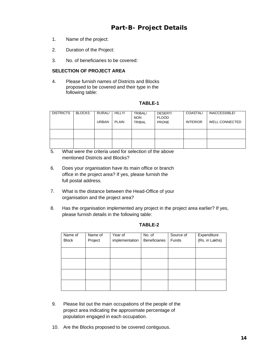## **Part-B- Project Details**

- 1. Name of the project:
- 2. Duration of the Project:
- 3. No. of beneficiaries to be covered:

### **SELECTION OF PROJECT AREA**

4. Please furnish names of Districts and Blocks proposed to be covered and their type in the following table:

### **TABLE-1**

| <b>DISTRICTS</b> | <b>BLOCKS</b> | <b>RURAL/</b><br>URBAN | HILLY/<br>PLAIN | TRIBAL/<br><b>NON</b><br><b>TRIBAL</b> | DESERT/<br><b>FLOOD</b><br><b>PRONE</b> | <b>COASTAL/</b><br><b>INTERIOR</b> | INACCESSIBLE/<br>WELL CONNECTED |
|------------------|---------------|------------------------|-----------------|----------------------------------------|-----------------------------------------|------------------------------------|---------------------------------|
|                  |               |                        |                 |                                        |                                         |                                    |                                 |
|                  |               |                        |                 |                                        |                                         |                                    |                                 |

- 5. What were the criteria used for selection of the above mentioned Districts and Blocks?
- 6. Does your organisation have its main office or branch office in the project area? If yes, please furnish the full postal address.
- 7. What is the distance between the Head-Office of your organisation and the project area?
- 8. Has the organisation implemented any project in the project area earlier? If yes, please furnish details in the following table:

| Name of      | Name of | Year of        | No. of               | Source of | Expenditure    |
|--------------|---------|----------------|----------------------|-----------|----------------|
| <b>Block</b> | Project | implementation | <b>Beneficiaries</b> | Funds     | (Rs. in Lakhs) |
|              |         |                |                      |           |                |
|              |         |                |                      |           |                |
|              |         |                |                      |           |                |
|              |         |                |                      |           |                |
|              |         |                |                      |           |                |
|              |         |                |                      |           |                |
|              |         |                |                      |           |                |
|              |         |                |                      |           |                |
|              |         |                |                      |           |                |
|              |         |                |                      |           |                |

#### **TABLE-2**

- 9. Please list out the main occupations of the people of the project area indicating the approximate percentage of population engaged in each occupation.
- 10. Are the Blocks proposed to be covered contiguous.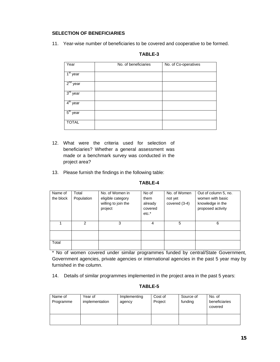### **SELECTION OF BENEFICIARIES**

11. Year-wise number of beneficiaries to be covered and cooperative to be formed.

| Year          | No. of beneficiaries | No. of Co-operatives |
|---------------|----------------------|----------------------|
| $1st$ year    |                      |                      |
| $2^{nd}$ year |                      |                      |
| $3rd$ year    |                      |                      |
| $4th$ year    |                      |                      |
| $5th$ year    |                      |                      |
| <b>TOTAL</b>  |                      |                      |

### **TABLE-3**

- 12. What were the criteria used for selection of beneficiaries? Whether a general assessment was made or a benchmark survey was conducted in the project area?
- 13. Please furnish the findings in the following table:

### **TABLE-4**

| Name of<br>the block | Total<br>Population | No. of Women in<br>eligible category<br>willing to join the<br>project | No of<br>them<br>already<br>covered<br>$etc.*$ | No. of Women<br>not yet<br>covered (3-4) | Out of column 5, no.<br>women with basic<br>knowledge in the<br>proposed activity |
|----------------------|---------------------|------------------------------------------------------------------------|------------------------------------------------|------------------------------------------|-----------------------------------------------------------------------------------|
|                      | 2                   | 3                                                                      | 4                                              | 5                                        | 6                                                                                 |
|                      |                     |                                                                        |                                                |                                          |                                                                                   |
| Total                |                     |                                                                        |                                                |                                          |                                                                                   |

\* No of women covered under similar programmes funded by central/State Government, Government agencies, private agencies or international agencies in the past 5 year may by furnished in the column.

14. Details of similar programmes implemented in the project area in the past 5 years:

### **TABLE-5**

| Name of<br>Programme | Year of<br>implementation | Implementing<br>agency | Cost of<br>Project | Source of<br>funding | No. of<br>beneficiaries<br>covered |
|----------------------|---------------------------|------------------------|--------------------|----------------------|------------------------------------|
|                      |                           |                        |                    |                      |                                    |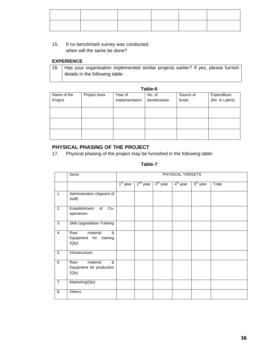### 15. If no benchmark survey was conducted, when will the same be done?

### **EXPERIENCE**

|                                 | 16.   Has your organisation implemented similar projects earlier? If yes, please furnish |  |
|---------------------------------|------------------------------------------------------------------------------------------|--|
| details in the following table: |                                                                                          |  |

## **Table-6**

| Name of the | Project Area | Year of        | No. of        | Source of | Expenditure    |
|-------------|--------------|----------------|---------------|-----------|----------------|
| Project     |              | implementation | beneficiaries | funds     | (Rs. In Lakhs) |
|             |              |                |               |           |                |
|             |              |                |               |           |                |
|             |              |                |               |           |                |
|             |              |                |               |           |                |
|             |              |                |               |           |                |
|             |              |                |               |           |                |
|             |              |                |               |           |                |

### **PHYSICAL PHASING OF THE PROJECT**

17. Physical phasing of the project may be furnished in the following table:

### **Table-7**

|    | Items                                                     |            |               |            | PHYSICAL TARGETS |            |       |
|----|-----------------------------------------------------------|------------|---------------|------------|------------------|------------|-------|
|    |                                                           | $1st$ year | $2^{nd}$ year | $3rd$ year | $4th$ year       | $5th$ year | Total |
| 1. | Administration (Appoint of<br>staff)                      |            |               |            |                  |            |       |
| 2. | $Co-$<br>Establishment<br>of<br>operatives                |            |               |            |                  |            |       |
| 3. | <b>Skill Upgradation Training</b>                         |            |               |            |                  |            |       |
| 4. | material<br>&<br>Raw<br>Equipment for training<br>(Qty).  |            |               |            |                  |            |       |
| 5. | Infrastructure                                            |            |               |            |                  |            |       |
| 6. | material<br>&<br>Raw<br>Equipment for production<br>(Qty) |            |               |            |                  |            |       |
| 7. | Marketing(Qty)                                            |            |               |            |                  |            |       |
| 8. | <b>Others</b>                                             |            |               |            |                  |            |       |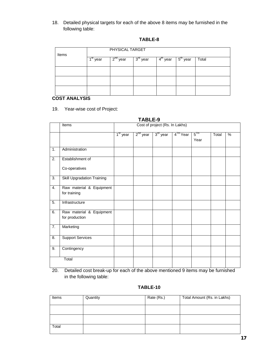18. Detailed physical targets for each of the above 8 items may be furnished in the following table:

| Items |                         | PHYSICAL TARGET  |                      |                                    |                      |       |  |  |  |  |  |  |
|-------|-------------------------|------------------|----------------------|------------------------------------|----------------------|-------|--|--|--|--|--|--|
|       | 4 <sup>st</sup><br>year | $2^{nd}$<br>year | $3^{\text{rd}}$ year | $\overline{4}^{\text{tn}}$<br>year | $5^{\text{th}}$ year | Total |  |  |  |  |  |  |
|       |                         |                  |                      |                                    |                      |       |  |  |  |  |  |  |
|       |                         |                  |                      |                                    |                      |       |  |  |  |  |  |  |
|       |                         |                  |                      |                                    |                      |       |  |  |  |  |  |  |

### **COST ANALYSIS**

### 19. Year-wise cost of Project:

|                  |                                            |            | TABLE-9    |                                |                      |                           |       |   |
|------------------|--------------------------------------------|------------|------------|--------------------------------|----------------------|---------------------------|-------|---|
|                  | <b>Items</b>                               |            |            | Cost of project (Rs. In Lakhs) |                      |                           |       |   |
|                  |                                            | $1st$ year | $2nd$ year | $3rd$ year                     | 4 <sup>IH</sup> Year | $5$ <sup>IH</sup><br>Year | Total | % |
| 1.               | Administration                             |            |            |                                |                      |                           |       |   |
| $\overline{2}$ . | Establishment of                           |            |            |                                |                      |                           |       |   |
|                  | Co-operatives                              |            |            |                                |                      |                           |       |   |
| 3.               | <b>Skill Upgradation Training</b>          |            |            |                                |                      |                           |       |   |
| 4.               | Raw material & Equipment<br>for training   |            |            |                                |                      |                           |       |   |
| 5.               | Infrastructure                             |            |            |                                |                      |                           |       |   |
| 6.               | Raw material & Equipment<br>for production |            |            |                                |                      |                           |       |   |
| 7.               | Marketing                                  |            |            |                                |                      |                           |       |   |
| 8.               | <b>Support Services</b>                    |            |            |                                |                      |                           |       |   |
| 9.               | Contingency                                |            |            |                                |                      |                           |       |   |
|                  | Total                                      |            |            |                                |                      |                           |       |   |

20. Detailed cost break-up for each of the above mentioned 9 items may be furnished in the following table:

### **TABLE-10**

| Items | Quantity | Rate (Rs.) | Total Amount (Rs. in Lakhs) |
|-------|----------|------------|-----------------------------|
|       |          |            |                             |
|       |          |            |                             |
| Total |          |            |                             |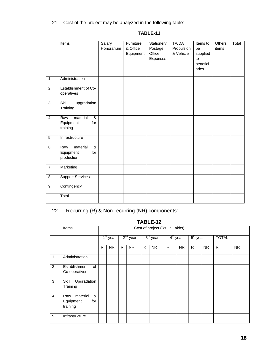21. Cost of the project may be analyzed in the following table:-

|                  | Items                                                  | Salary<br>Honorarium | Furniture<br>& Office<br>Equipment | Stationery<br>Postage<br>Office<br>Expenses | TA/DA<br>Propulsion<br>& Vehicle | Items to<br>be<br>supplied<br>to<br>benefici<br>aries | <b>Others</b><br>items | Total |
|------------------|--------------------------------------------------------|----------------------|------------------------------------|---------------------------------------------|----------------------------------|-------------------------------------------------------|------------------------|-------|
| $\mathbf{1}$ .   | Administration                                         |                      |                                    |                                             |                                  |                                                       |                        |       |
| $\overline{2}$ . | Establishment of Co-<br>operatives                     |                      |                                    |                                             |                                  |                                                       |                        |       |
| $\overline{3}$ . | Skill<br>upgradation<br>Training                       |                      |                                    |                                             |                                  |                                                       |                        |       |
| 4.               | material<br>&<br>Raw<br>Equipment<br>for<br>training   |                      |                                    |                                             |                                  |                                                       |                        |       |
| 5.               | Infrastructure                                         |                      |                                    |                                             |                                  |                                                       |                        |       |
| 6.               | material<br>&<br>Raw<br>Equipment<br>for<br>production |                      |                                    |                                             |                                  |                                                       |                        |       |
| $\overline{7}$ . | Marketing                                              |                      |                                    |                                             |                                  |                                                       |                        |       |
| 8.               | <b>Support Services</b>                                |                      |                                    |                                             |                                  |                                                       |                        |       |
| 9.               | Contingency                                            |                      |                                    |                                             |                                  |                                                       |                        |       |
|                  | Total                                                  |                      |                                    |                                             |                                  |                                                       |                        |       |

### **TABLE-11**

## 22. Recurring (R) & Non-recurring (NR) components:

|                | TABLE-12                                             |            |                                |   |            |                      |           |                      |           |            |           |              |           |
|----------------|------------------------------------------------------|------------|--------------------------------|---|------------|----------------------|-----------|----------------------|-----------|------------|-----------|--------------|-----------|
|                | Items                                                |            | Cost of project (Rs. In Lakhs) |   |            |                      |           |                      |           |            |           |              |           |
|                |                                                      | $1st$ year |                                |   | $2nd$ year | 3 <sup>rd</sup> year |           | 4 <sup>th</sup> year |           | $5th$ year |           | <b>TOTAL</b> |           |
|                |                                                      | R          | NR.                            | R | <b>NR</b>  | R.                   | <b>NR</b> | R                    | <b>NR</b> | R          | <b>NR</b> | $\mathsf{R}$ | <b>NR</b> |
| 1              | Administration                                       |            |                                |   |            |                      |           |                      |           |            |           |              |           |
| 2              | of<br>Establishment<br>Co-operatives                 |            |                                |   |            |                      |           |                      |           |            |           |              |           |
| 3              | Upgradation<br>Skill<br>Training                     |            |                                |   |            |                      |           |                      |           |            |           |              |           |
| $\overline{4}$ | material<br>&<br>Raw<br>Equipment<br>for<br>training |            |                                |   |            |                      |           |                      |           |            |           |              |           |
| 5              | Infrastructure                                       |            |                                |   |            |                      |           |                      |           |            |           |              |           |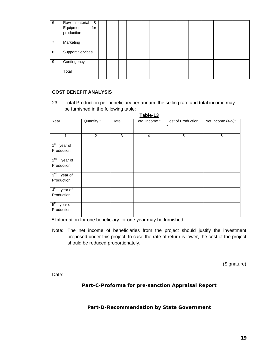| 6 | Raw material &<br>Equipment<br>for<br>production |  |  |  |  |  |  |
|---|--------------------------------------------------|--|--|--|--|--|--|
| 7 | Marketing                                        |  |  |  |  |  |  |
| 8 | <b>Support Services</b>                          |  |  |  |  |  |  |
| 9 | Contingency                                      |  |  |  |  |  |  |
|   | Total                                            |  |  |  |  |  |  |

#### **COST BENEFIT ANALYSIS**

23. Total Production per beneficiary per annum, the selling rate and total income may be furnished in the following table:

| Table-13                   |                       |      |                |                    |                   |  |
|----------------------------|-----------------------|------|----------------|--------------------|-------------------|--|
| Year                       | Quantity <sup>*</sup> | Rate | Total Income * | Cost of Production | Net Income (4-5)* |  |
|                            |                       |      |                | $\star$            |                   |  |
| 1                          | 2                     | 3    | $\overline{4}$ | 5                  | 6                 |  |
| 1 <sup>st</sup><br>year of |                       |      |                |                    |                   |  |
| Production                 |                       |      |                |                    |                   |  |
| $2^{nd}$<br>year of        |                       |      |                |                    |                   |  |
| Production                 |                       |      |                |                    |                   |  |
| 3 <sup>rd</sup><br>year of |                       |      |                |                    |                   |  |
| Production                 |                       |      |                |                    |                   |  |
| 4 <sup>th</sup><br>year of |                       |      |                |                    |                   |  |
| Production                 |                       |      |                |                    |                   |  |
| 5 <sup>th</sup><br>year of |                       |      |                |                    |                   |  |
| Production                 |                       |      |                |                    |                   |  |

**\*** Information for one beneficiary for one year may be furnished.

Note: The net income of beneficiaries from the project should justify the investment proposed under this project. In case the rate of return is lower, the cost of the project should be reduced proportionately.

(Signature)

Date:

**Part-C-Proforma for pre-sanction Appraisal Report** 

### **Part-D-Recommendation by State Government**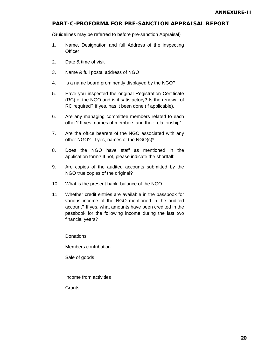### **PART-C-PROFORMA FOR PRE-SANCTION APPRAISAL REPORT**

(Guidelines may be referred to before pre-sanction Appraisal)

- 1. Name, Designation and full Address of the inspecting **Officer**
- 2. Date & time of visit
- 3. Name & full postal address of NGO
- 4. Is a name board prominently displayed by the NGO?
- 5. Have you inspected the original Registration Certificate (RC) of the NGO and is it satisfactory? Is the renewal of RC required? If yes, has it been done (if applicable).
- 6. Are any managing committee members related to each other? If yes, names of members and their relationship\*
- 7. Are the office bearers of the NGO associated with any other NGO? If yes, names of the NGO(s)\*
- 8. Does the NGO have staff as mentioned in the application form? If not, please indicate the shortfall:
- 9. Are copies of the audited accounts submitted by the NGO true copies of the original?
- 10. What is the present bank balance of the NGO
- 11. Whether credit entries are available in the passbook for various income of the NGO mentioned in the audited account? If yes, what amounts have been credited in the passbook for the following income during the last two financial years?

**Donations** 

Members contribution

Sale of goods

Income from activities

**Grants**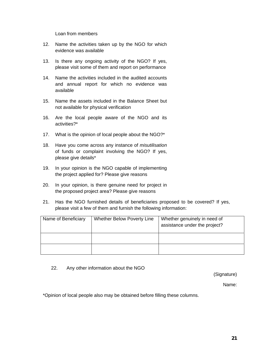Loan from members

- 12. Name the activities taken up by the NGO for which evidence was available
- 13. Is there any ongoing activity of the NGO? If yes, please visit some of them and report on performance
- 14. Name the activities included in the audited accounts and annual report for which no evidence was available
- 15. Name the assets included in the Balance Sheet but not available for physical verification
- 16. Are the local people aware of the NGO and its activities?\*
- 17. What is the opinion of local people about the NGO?\*
- 18. Have you come across any instance of *misutilisation* of funds or complaint involving the NGO? If yes, please give details\*
- 19. In your opinion is the NGO capable of implementing the project applied for? Please give reasons
- 20. In your opinion, is there genuine need for project in the proposed project area? Please give reasons
- 21. Has the NGO furnished details of beneficiaries proposed to be covered? If yes, please visit a few of them and furnish the following information:

| Name of Beneficiary | Whether Below Poverty Line | Whether genuinely in need of<br>assistance under the project? |
|---------------------|----------------------------|---------------------------------------------------------------|
|                     |                            |                                                               |
|                     |                            |                                                               |

22. Any other information about the NGO

(Signature)

Name:

\*Opinion of local people also may be obtained before filling these columns.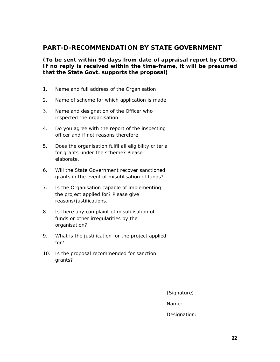### **PART-D-RECOMMENDATION BY STATE GOVERNMENT**

**(To be sent within 90 days from date of appraisal report by CDPO. If no reply is received within the time-frame, it will be presumed that the State Govt. supports the proposal)** 

- 1. Name and full address of the Organisation
- 2. Name of scheme for which application is made
- 3. Name and designation of the Officer who inspected the organisation
- 4. Do you agree with the report of the inspecting officer and if not reasons therefore
- 5. Does the organisation fulfil all eligibility criteria for grants under the scheme? Please elaborate.
- 6. Will the State Government recover sanctioned grants in the event of misutilisation of funds?
- 7. Is the Organisation capable of implementing the project applied for? Please give reasons/justifications.
- 8. Is there any complaint of misutilisation of funds or other irregularities by the organisation?
- 9. What is the justification for the project applied for?
- 10. Is the proposal recommended for sanction grants?

(Signature)

Name:

Designation: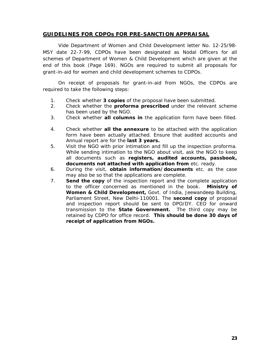### **GUIDELINES FOR CDPOs FOR PRE-SANCTION APPRAISAL**

 Vide Department of Women and Child Development letter No. 12-25/98- MSY date 22-7-99, CDPOs have been designated as Nodal Officers for all schemes of Department of Women & Child Development which are given at the end of this book (Page 169). NGOs are required to submit all proposals for grant-in-aid for women and child development schemes to CDPOs.

 On receipt of proposals for grant-in-aid from NGOs, the CDPOs are required to take the following steps:

- 1. Check whether **3 copies** of the proposal have been submitted.
- 2. Check whether the **proforma prescribed** under the relevant scheme has been used by the NGO.
- 3. Check whether **all columns in** the application form have been filled.
- 4. Check whether **all the annexure** to be attached with the application form have been actually attached. Ensure that audited accounts and Annual report are for the **last 3 years.**
- 5. Visit the NGO with prior intimation and fill up the inspection proforma. While sending intimation to the NGO about visit, ask the NGO to keep all documents such as **registers, audited accounts, passbook, documents not attached with application from** etc. ready.
- 6. During the visit, **obtain information/documents** etc. as the case may also be so that the applications are complete.
- 7. **Send the copy** of the inspection report and the complete application to the officer concerned as mentioned in the book. **Ministry of Women & Child Development,** Govt. of India, Jeewandeep Building, Parliament Street, New Delhi-110001. The **second copy** of proposal and inspection report should be sent to DPO/DY. CEO for onward transmission to the **State Government.** The third copy may be retained by CDPO for office record. **This should be done 30 days of receipt of application from NGOs.**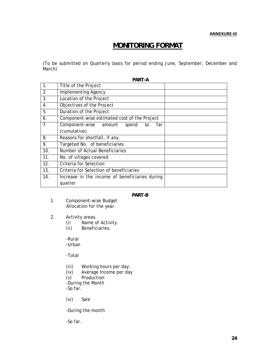**ANNEXURE‐III**

## **MONITORING FORMAT**

(To be submitted on Quarterly basis for period ending June, September, December and March)

| Title of the Project<br><b>Implementing Agency</b><br>Location of the Project<br>Objectives of the Project<br>Duration of the Project |  |
|---------------------------------------------------------------------------------------------------------------------------------------|--|
|                                                                                                                                       |  |
|                                                                                                                                       |  |
|                                                                                                                                       |  |
|                                                                                                                                       |  |
|                                                                                                                                       |  |
| Component-wise estimated cost of the Project                                                                                          |  |
| Component-wise amount<br>spend<br>far<br><sub>SO</sub>                                                                                |  |
| (cumulative).                                                                                                                         |  |
| Reasons for shortfall, if any.                                                                                                        |  |
| Targeted No. of beneficiaries                                                                                                         |  |
| Number of Actual Beneficiaries                                                                                                        |  |
| No. of villages covered                                                                                                               |  |
| Criteria for Selection                                                                                                                |  |
| Criteria for Selection of beneficiaries                                                                                               |  |
|                                                                                                                                       |  |
| Increase in the income of beneficiaries during                                                                                        |  |
|                                                                                                                                       |  |

#### **PART-B**

- 1. Component-wise Budget Allocation for the year.
- 2. Activity areas.
	- (i) Name of Activity.<br>(ii) Beneficiaries.
	- Beneficiaries.

-Rural -Urban

-Total

- (iii) Working hours per day.<br>(iv) Average Income per day
- Average Income per day

(v) Production -During the Month -So far.

(vi) Sale

-During the month

-So far.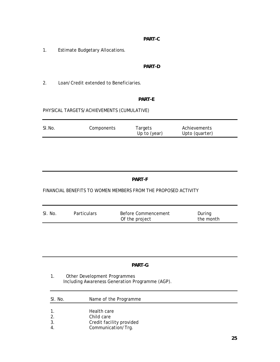### **PART-C**

1. Estimate Budgetary Allocations.

### **PART-D**

2. Loan/Credit extended to Beneficiaries.

### **PART-E**

### PHYSICAL TARGETS/ACHIEVEMENTS (CUMULATIVE)

| SI.No. | Components | Targets<br>Up to (year) | Achievements<br>Upto (quarter) |
|--------|------------|-------------------------|--------------------------------|
|        |            |                         |                                |

### **PART-F**

### FINANCIAL BENEFITS TO WOMEN MEMBERS FROM THE PROPOSED ACTIVITY

| SI. No. | <b>Particulars</b> | Before Commencement | During    |
|---------|--------------------|---------------------|-----------|
|         |                    | Of the project      | the month |

### **PART-G**

1. Other Development Programmes Including Awareness Generation Programme (AGP).

| SI. No.          | Name of the Programme    |  |  |
|------------------|--------------------------|--|--|
| $\mathbf{1}$ .   | Health care              |  |  |
| 2.               | Child care               |  |  |
| 3.               | Credit facility provided |  |  |
| $\overline{4}$ . | Communication/Trg.       |  |  |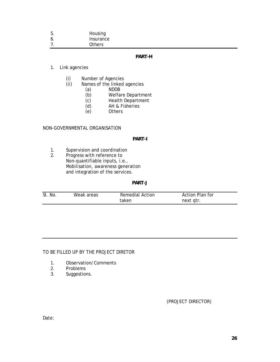| $b$ . | Housing   |
|-------|-----------|
|       | Incurance |

6. Insurance 7. Others

### **PART-H**

### 1. Link agencies

- (i) Number of Agencies<br>(ii) Names of the linked
- Names of the linked agencies
	- (a) NDDB
	- (b) Welfare Department
	- (c) Health Department<br>(d) AH & Fisheries
	- AH & Fisheries
	- (e) Others

### NON-GOVERNMENTAL ORGANISATION

### **PART-I**

- 1. Supervision and coordination
- 2. Progress with reference to Non-quantifiable inputs, i.e., Mobilisation, awareness generation and integration of the services.

#### **PART-J**

| SI. No. | Weak areas | Remedial Action | Action Plan for |  |
|---------|------------|-----------------|-----------------|--|
|         |            | taken           | next qtr.       |  |

### TO BE FILLED UP BY THE PROJECT DIRETOR

- 1. Observation/Comments
- 2. Problems
- 3. Suggestions.

### (PROJECT DIRECTOR)

Date: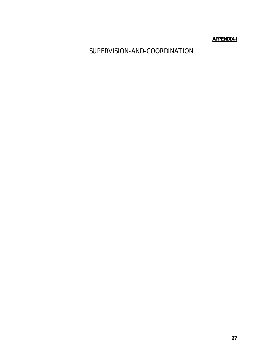**APPENDIX-I**

SUPERVISION-AND-COORDINATION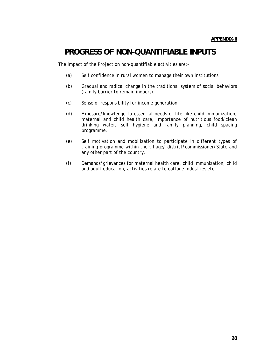## **PROGRESS OF NON-QUANTIFIABLE INPUTS**

The impact of the Project on non-quantifiable activities are:-

- (a) Self confidence in rural women to manage their own institutions.
- (b) Gradual and radical change in the traditional system of social behaviors (family barrier to remain indoors).
- (c) Sense of responsibility for income generation.
- (d) Exposure/knowledge to essential needs of life like child immunization, maternal and child health care, importance of nutritious food/clean drinking water, self hygiene and family planning, child spacing programme.
- (e) Self motivation and mobilization to participate in different types of training programme within the village/ district/commissioner/State and any other part of the country.
- (f) Demands/grievances for maternal health care, child immunization, child and adult education, activities relate to cottage industries etc.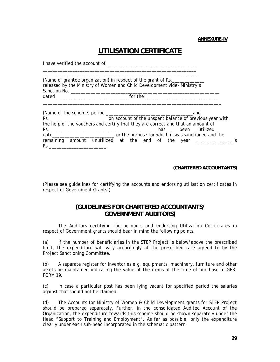**ANNEXURE-IV**

## **UTILISATION CERTIFICATE**

I have verified the account of \_\_\_\_\_\_\_\_\_\_\_\_\_\_\_\_\_\_\_\_\_\_\_\_\_\_\_\_\_\_\_\_\_\_\_\_ \_\_\_\_\_\_\_\_\_\_\_\_\_\_\_\_\_\_\_\_\_\_\_\_\_\_\_\_\_\_\_\_\_\_\_\_\_\_\_\_\_\_\_\_\_\_\_\_\_\_\_\_\_\_\_\_\_\_\_\_\_\_ \_\_\_\_\_\_\_\_\_\_\_\_\_\_\_\_\_\_\_\_\_\_\_\_\_\_\_\_\_\_\_\_\_\_\_\_\_\_\_\_\_\_\_\_\_\_\_\_\_\_\_\_\_\_\_\_\_\_\_\_\_\_\_ (Name of grantee organization) in respect of the grant of Rs.\_\_\_\_\_\_\_\_\_\_\_\_\_ released by the Ministry of Women and Child Development vide- Ministry's Sanction No. \_\_\_\_\_\_\_\_\_\_\_\_\_\_\_\_\_\_\_\_\_\_\_\_\_\_\_\_\_\_\_\_\_\_\_\_\_\_\_\_\_\_\_\_\_\_\_\_\_\_\_\_\_\_\_\_\_\_\_\_ dated\_\_\_\_\_\_\_\_\_\_\_\_\_\_\_\_\_\_\_\_\_\_\_\_\_\_\_\_\_\_for the \_\_\_\_\_\_\_\_\_\_\_\_\_\_\_\_\_\_\_\_\_\_\_\_\_\_\_\_\_\_ \_\_\_\_\_\_\_\_\_\_\_\_\_\_\_\_\_\_\_\_\_\_\_\_\_\_\_\_\_\_\_\_\_\_\_\_\_\_\_\_\_\_\_\_\_\_\_\_\_\_\_\_\_\_\_\_\_\_\_\_\_\_\_\_\_\_\_\_\_\_\_\_ (Name of the scheme) period \_\_\_\_\_\_\_\_\_\_\_\_\_\_\_\_\_\_\_\_\_\_\_\_\_\_\_\_\_\_\_\_\_\_\_and Rs.\_\_\_\_\_\_\_\_\_\_\_\_\_\_\_\_\_\_\_\_\_\_\_\_on account of the unspent balance of previous year with the help of the vouchers and certify that they are correct and that an amount of Rs.\_\_\_\_\_\_\_\_\_\_\_\_\_\_\_\_\_\_\_\_\_\_\_\_\_\_\_\_\_\_\_\_\_\_\_\_\_\_\_\_\_\_\_\_has been utilized upto\_\_\_\_\_\_\_\_\_\_\_\_\_\_\_\_\_\_\_\_\_\_\_\_\_for the purpose for which it was sanctioned and the remaining amount unutilized at the end of the year \_\_\_\_\_\_\_\_\_\_\_\_\_\_\_\_\_\_\_\_\_\_is

 $\mathsf{Rs.}$  and the set of  $\mathsf{Rs.}$ 

 **(CHARTERED ACCOUNTANTS)** 

(Please see guidelines for certifying the accounts and endorsing utilisation certificates in respect of Government Grants.)

### **(GUIDELINES FOR CHARTERED ACCOUNTANTS/ GOVERNMENT AUDITORS)**

The Auditors certifying the accounts and endorsing Utilization Certificates in respect of Government grants should bear in mind the following points.

(a) If the number of beneficiaries in the STEP Project is below/above the prescribed limit, the expenditure will vary accordingly at the prescribed rate agreed to by the Project Sanctioning Committee.

(b) A separate register for inventories e.g. equipments, machinery, furniture and other assets be maintained indicating the value of the items at the time of purchase in GFR-FORM 19.

(c) In case a particular post has been lying vacant for specified period the salaries against that should not be claimed.

(d) The Accounts for Ministry of Women & Child Development grants for STEP Project should be prepared separately. Further, in the consolidated Audited Account of the Organization, the expenditure towards this scheme should be shown separately under the Head "Support to Training and Employment". As far as possible, only the expenditure clearly under each sub-head incorporated in the schematic pattern.